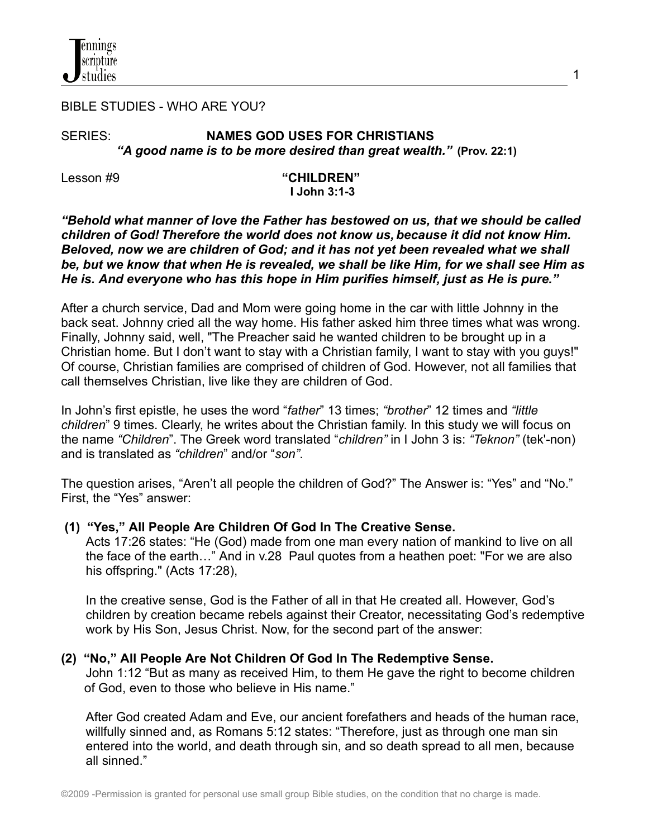

#### BIBLE STUDIES - WHO ARE YOU?

## SERIES: **NAMES GOD USES FOR CHRISTIANS** *"A good name is to be more desired than great wealth."* **(Prov. 22:1)**

Lesson #9 **"CHILDREN" I John 3:1-3**

1

*"Behold what manner of love the Father has bestowed on us, that we should be called children of God! Therefore the world does not know us, because it did not know Him. Beloved, now we are children of God; and it has not yet been revealed what we shall* be, but we know that when He is revealed, we shall be like Him, for we shall see Him as *He is. And everyone who has this hope in Him purifies himself, just as He is pure."*

After a church service, Dad and Mom were going home in the car with little Johnny in the back seat. Johnny cried all the way home. His father asked him three times what was wrong. Finally, Johnny said, well, "The Preacher said he wanted children to be brought up in a Christian home. But I don't want to stay with a Christian family, I want to stay with you guys!" Of course, Christian families are comprised of children of God. However, not all families that call themselves Christian, live like they are children of God.

In John's first epistle, he uses the word "*father*" 13 times; *"brother*" 12 times and *"little children*" 9 times. Clearly, he writes about the Christian family. In this study we will focus on the name *"Children*". The Greek word translated "*children"* in I John 3 is: *"Teknon"* (tek'-non) and is translated as *"children*" and/or "*son"*.

The question arises, "Aren't all people the children of God?" The Answer is: "Yes" and "No." First, the "Yes" answer:

### **(1) "Yes," All People Are Children Of God In The Creative Sense.**

Acts 17:26 states: "He (God) made from one man every nation of mankind to live on all the face of the earth…" And in v.28 Paul quotes from a heathen poet: "For we are also his offspring." (Acts 17:28),

In the creative sense, God is the Father of all in that He created all. However, God's children by creation became rebels against their Creator, necessitating God's redemptive work by His Son, Jesus Christ. Now, for the second part of the answer:

### **(2) "No," All People Are Not Children Of God In The Redemptive Sense.**

John 1:12 "But as many as received Him, to them He gave the right to become children of God, even to those who believe in His name."

After God created Adam and Eve, our ancient forefathers and heads of the human race, willfully sinned and, as Romans 5:12 states: "Therefore, just as through one man sin entered into the world, and death through sin, and so death spread to all men, because all sinned."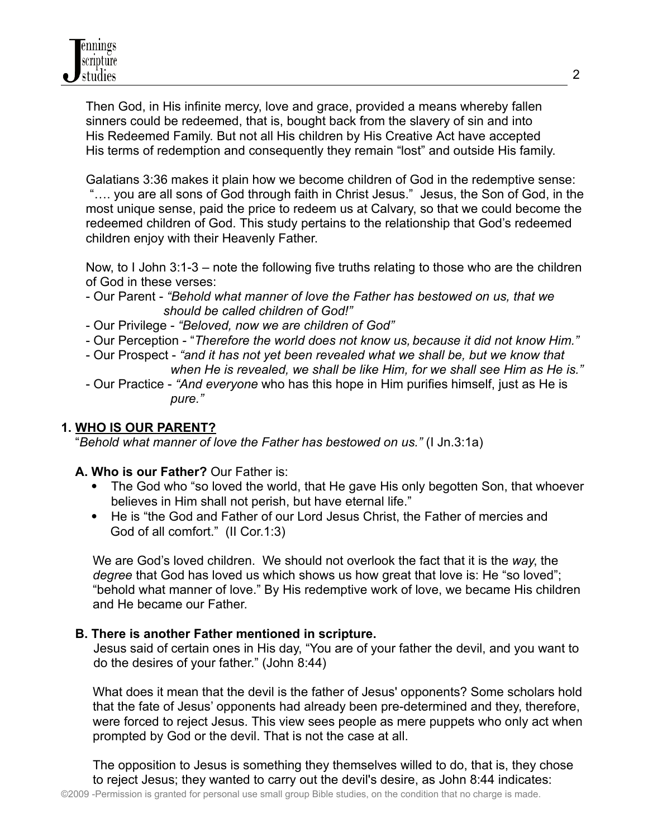Then God, in His infinite mercy, love and grace, provided a means whereby fallen sinners could be redeemed, that is, bought back from the slavery of sin and into His Redeemed Family. But not all His children by His Creative Act have accepted His terms of redemption and consequently they remain "lost" and outside His family.

Galatians 3:36 makes it plain how we become children of God in the redemptive sense: "…. you are all sons of God through faith in Christ Jesus." Jesus, the Son of God, in the most unique sense, paid the price to redeem us at Calvary, so that we could become the redeemed children of God. This study pertains to the relationship that God's redeemed children enjoy with their Heavenly Father.

Now, to I John 3:1-3 – note the following five truths relating to those who are the children of God in these verses:

- Our Parent *"Behold what manner of love the Father has bestowed on us, that we should be called children of God!"*
- Our Privilege *"Beloved, now we are children of God"*
- Our Perception "*Therefore the world does not know us, because it did not know Him."*
- Our Prospect *"and it has not yet been revealed what we shall be, but we know that when He is revealed, we shall be like Him, for we shall see Him as He is."*
- Our Practice *"And everyone* who has this hope in Him purifies himself, just as He is *pure."*

# **1. WHO IS OUR PARENT?**

"*Behold what manner of love the Father has bestowed on us."* (I Jn.3:1a)

# **A. Who is our Father?** Our Father is:

- The God who "so loved the world, that He gave His only begotten Son, that whoever believes in Him shall not perish, but have eternal life."
- He is "the God and Father of our Lord Jesus Christ, the Father of mercies and God of all comfort." (II Cor.1:3)

We are God's loved children. We should not overlook the fact that it is the *way*, the *degree* that God has loved us which shows us how great that love is: He "so loved"; "behold what manner of love." By His redemptive work of love, we became His children and He became our Father.

# **B. There is another Father mentioned in scripture.**

Jesus said of certain ones in His day, "You are of your father the devil, and you want to do the desires of your father." (John 8:44)

What does it mean that the devil is the father of Jesus' opponents? Some scholars hold that the fate of Jesus' opponents had already been pre-determined and they, therefore, were forced to reject Jesus. This view sees people as mere puppets who only act when prompted by God or the devil. That is not the case at all.

The opposition to Jesus is something they themselves willed to do, that is, they chose to reject Jesus; they wanted to carry out the devil's desire, as John 8:44 indicates: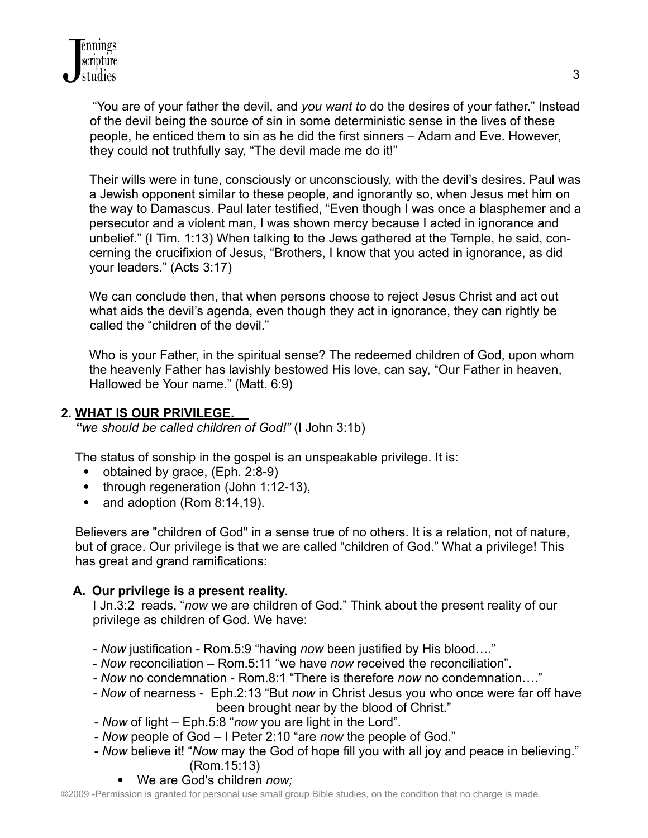"You are of your father the devil, and *you want to* do the desires of your father." Instead of the devil being the source of sin in some deterministic sense in the lives of these people, he enticed them to sin as he did the first sinners – Adam and Eve. However, they could not truthfully say, "The devil made me do it!"

Their wills were in tune, consciously or unconsciously, with the devil's desires. Paul was a Jewish opponent similar to these people, and ignorantly so, when Jesus met him on the way to Damascus. Paul later testified, "Even though I was once a blasphemer and a persecutor and a violent man, I was shown mercy because I acted in ignorance and unbelief." (I Tim. 1:13) When talking to the Jews gathered at the Temple, he said, concerning the crucifixion of Jesus, "Brothers, I know that you acted in ignorance, as did your leaders." (Acts 3:17)

We can conclude then, that when persons choose to reject Jesus Christ and act out what aids the devil's agenda, even though they act in ignorance, they can rightly be called the "children of the devil."

Who is your Father, in the spiritual sense? The redeemed children of God, upon whom the heavenly Father has lavishly bestowed His love, can say, "Our Father in heaven, Hallowed be Your name." (Matt. 6:9)

# **2. WHAT IS OUR PRIVILEGE.**

*"we should be called children of God!"* (I John 3:1b)

The status of sonship in the gospel is an unspeakable privilege. It is:

- obtained by grace,  $(Eph. 2:8-9)$
- through regeneration (John 1:12-13),
- and adoption (Rom 8:14,19).

Believers are "children of God" in a sense true of no others. It is a relation, not of nature, but of grace. Our privilege is that we are called "children of God." What a privilege! This has great and grand ramifications:

# **A. Our privilege is a present reality**.

I Jn.3:2 reads, "*now* we are children of God." Think about the present reality of our privilege as children of God. We have:

- *Now* justification Rom.5:9 "having *now* been justified by His blood…."
- *Now* reconciliation Rom.5:11 "we have *now* received the reconciliation".
- *- Now* no condemnation Rom.8:1 "There is therefore *now* no condemnation…."
- *- Now* of nearness Eph.2:13 "But *now* in Christ Jesus you who once were far off have been brought near by the blood of Christ."
- *Now* of light Eph.5:8 "*now* you are light in the Lord".
- *Now* people of God I Peter 2:10 "are *now* the people of God."
- *Now* believe it! "*Now* may the God of hope fill you with all joy and peace in believing." (Rom.15:13)
	- We are God's children *now;*

©2009 -Permission is granted for personal use small group Bible studies, on the condition that no charge is made.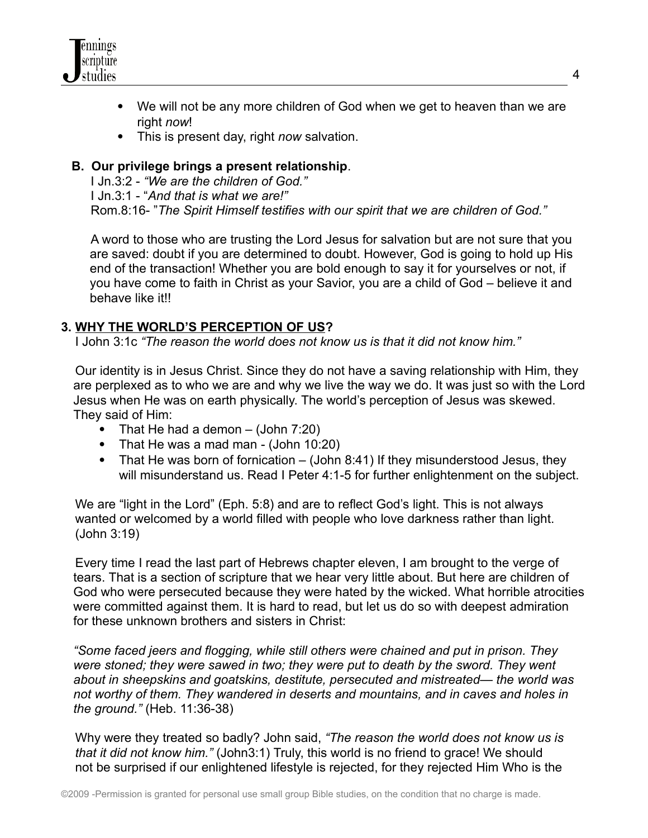

- We will not be any more children of God when we get to heaven than we are right *now*!
- This is present day, right *now* salvation.

## **B. Our privilege brings a present relationship**.

I Jn.3:2 - *"We are the children of God."* I Jn.3:1 - "*And that is what we are!"* Rom.8:16- "*The Spirit Himself testifies with our spirit that we are children of God."*

A word to those who are trusting the Lord Jesus for salvation but are not sure that you are saved: doubt if you are determined to doubt. However, God is going to hold up His end of the transaction! Whether you are bold enough to say it for yourselves or not, if you have come to faith in Christ as your Savior, you are a child of God – believe it and behave like it!!

## **3. WHY THE WORLD'S PERCEPTION OF US?**

I John 3:1c *"The reason the world does not know us is that it did not know him."*

Our identity is in Jesus Christ. Since they do not have a saving relationship with Him, they are perplexed as to who we are and why we live the way we do. It was just so with the Lord Jesus when He was on earth physically. The world's perception of Jesus was skewed. They said of Him:

- That He had a demon  $-$  (John 7:20)
- That He was a mad man (John 10:20)
- That He was born of fornication (John 8:41) If they misunderstood Jesus, they will misunderstand us. Read I Peter 4:1-5 for further enlightenment on the subject.

We are "light in the Lord" (Eph. 5:8) and are to reflect God's light. This is not always wanted or welcomed by a world filled with people who love darkness rather than light. (John 3:19)

Every time I read the last part of Hebrews chapter eleven, I am brought to the verge of tears. That is a section of scripture that we hear very little about. But here are children of God who were persecuted because they were hated by the wicked. What horrible atrocities were committed against them. It is hard to read, but let us do so with deepest admiration for these unknown brothers and sisters in Christ:

*"Some faced jeers and flogging, while still others were chained and put in prison. They were stoned; they were sawed in two; they were put to death by the sword. They went about in sheepskins and goatskins, destitute, persecuted and mistreated— the world was not worthy of them. They wandered in deserts and mountains, and in caves and holes in the ground."* (Heb. 11:36-38)

Why were they treated so badly? John said, *"The reason the world does not know us is that it did not know him."* (John3:1) Truly, this world is no friend to grace! We should not be surprised if our enlightened lifestyle is rejected, for they rejected Him Who is the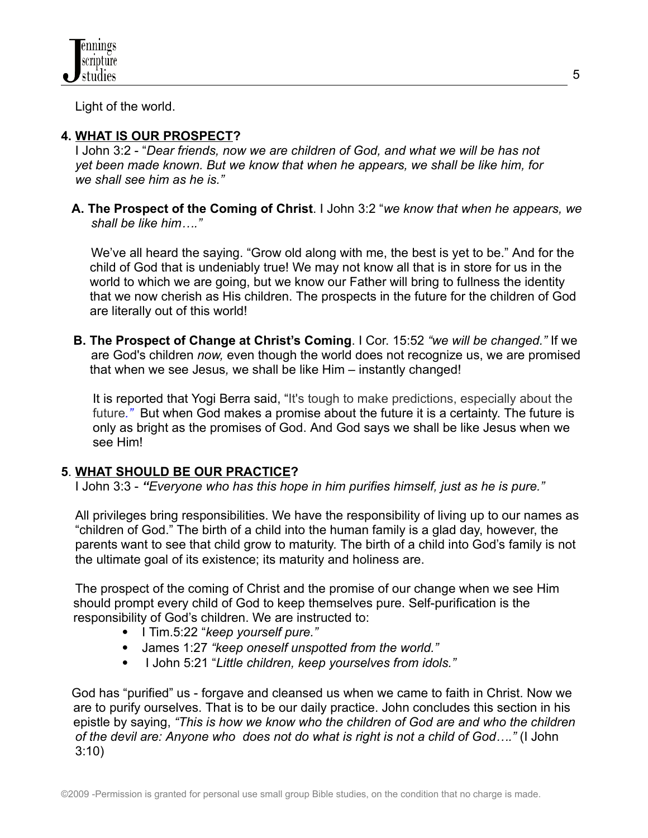Light of the world.

# **4. WHAT IS OUR PROSPECT?**

I John 3:2 - "*Dear friends, now we are children of God, and what we will be has not yet been made known. But we know that when he appears, we shall be like him, for we shall see him as he is."*

**A. The Prospect of the Coming of Christ**. I John 3:2 "*we know that when he appears, we shall be like him…."*

We've all heard the saying. "Grow old along with me, the best is yet to be." And for the child of God that is undeniably true! We may not know all that is in store for us in the world to which we are going, but we know our Father will bring to fullness the identity that we now cherish as His children. The prospects in the future for the children of God are literally out of this world!

**B. The Prospect of Change at Christ's Coming**. I Cor. 15:52 *"we will be changed."* If we are God's children *now,* even though the world does not recognize us, we are promised that when we see Jesus*,* we shall be like Him – instantly changed!

It is reported that Yogi Berra said, "It's tough to make predictions, especially about the future*."* But when God makes a promise about the future it is a certainty. The future is only as bright as the promises of God. And God says we shall be like Jesus when we see Him!

### **5**. **WHAT SHOULD BE OUR PRACTICE?**

I John 3:3 - *"Everyone who has this hope in him purifies himself, just as he is pure."*

All privileges bring responsibilities. We have the responsibility of living up to our names as "children of God." The birth of a child into the human family is a glad day, however, the parents want to see that child grow to maturity. The birth of a child into God's family is not the ultimate goal of its existence; its maturity and holiness are.

The prospect of the coming of Christ and the promise of our change when we see Him should prompt every child of God to keep themselves pure. Self-purification is the responsibility of God's children. We are instructed to:

- I Tim.5:22 "*keep yourself pure."*
- James 1:27 *"keep oneself unspotted from the world."*
- I John 5:21 "*Little children, keep yourselves from idols."*

God has "purified" us - forgave and cleansed us when we came to faith in Christ. Now we are to purify ourselves. That is to be our daily practice. John concludes this section in his epistle by saying, *"This is how we know who the children of God are and who the children of the devil are: Anyone who does not do what is right is not a child of God…."* (I John 3:10)